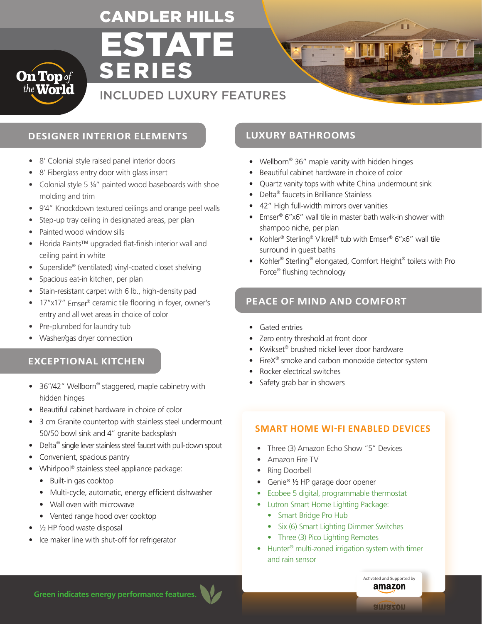# ESTATE CANDLER HILLS

SERIES



# INCLUDED LUXURY FEATURES

# **DESIGNER INTERIOR ELEMENTS LUXURY BATHROOMS**

- 8' Colonial style raised panel interior doors
- 8' Fiberglass entry door with glass insert
- Colonial style 5 ¼" painted wood baseboards with shoe molding and trim
- 9'4" Knockdown textured ceilings and orange peel walls
- Step-up tray ceiling in designated areas, per plan
- Painted wood window sills
- Florida Paints™ upgraded flat-finish interior wall and ceiling paint in white
- Superslide® (ventilated) vinyl-coated closet shelving
- Spacious eat-in kitchen, per plan
- Stain-resistant carpet with 6 lb., high-density pad
- 17"x17" Emser<sup>®</sup> ceramic tile flooring in foyer, owner's entry and all wet areas in choice of color
- Pre-plumbed for laundry tub
- Washer/gas dryer connection

# **EXCEPTIONAL KITCHEN**

- 36"/42" Wellborn® staggered, maple cabinetry with hidden hinges
- Beautiful cabinet hardware in choice of color
- 3 cm Granite countertop with stainless steel undermount 50/50 bowl sink and 4" granite backsplash
- Delta<sup>®</sup> single lever stainless steel faucet with pull-down spout
- Convenient, spacious pantry
- Whirlpool® stainless steel appliance package:
	- Built-in gas cooktop
	- Multi-cycle, automatic, energy efficient dishwasher
	- Wall oven with microwave
	- Vented range hood over cooktop
- 1/2 HP food waste disposal
- Ice maker line with shut-off for refrigerator

- Wellborn<sup>®</sup> 36" maple vanity with hidden hinges
- Beautiful cabinet hardware in choice of color
- Quartz vanity tops with white China undermount sink
- Delta® faucets in Brilliance Stainless
- 42" High full-width mirrors over vanities
- Emser® 6"x6" wall tile in master bath walk-in shower with shampoo niche, per plan
- Kohler® Sterling® Vikrell® tub with Emser® 6"x6" wall tile surround in guest baths
- Kohler<sup>®</sup> Sterling<sup>®</sup> elongated, Comfort Height<sup>®</sup> toilets with Pro Force® flushing technology

# **PEACE OF MIND AND COMFORT**

- Gated entries
- Zero entry threshold at front door
- Kwikset® brushed nickel lever door hardware
- FireX<sup>®</sup> smoke and carbon monoxide detector system
- Rocker electrical switches
- Safety grab bar in showers

#### **SMART HOME WI-FI ENABLED DEVICES**

- Three (3) Amazon Echo Show "5" Devices
- Amazon Fire TV
- Ring Doorbell
- Genie® 1/2 HP garage door opener
- Ecobee 5 digital, programmable thermostat
- Lutron Smart Home Lighting Package:
	- Smart Bridge Pro Hub
	- Six (6) Smart Lighting Dimmer Switches
	- Three (3) Pico Lighting Remotes
- Hunter<sup>®</sup> multi-zoned irrigation system with timer and rain sensor

**Green indicates energy performance features.**

Activated and Supported by amazon